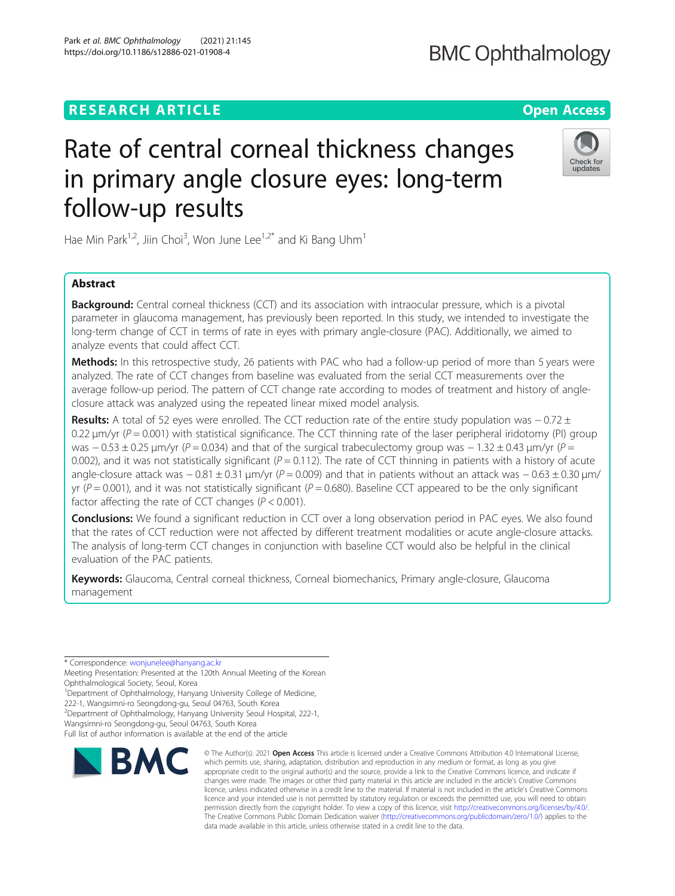# **RESEARCH ARTICLE Example 2014 12:30 The Contract of Contract ACCESS**

# Rate of central corneal thickness changes in primary angle closure eyes: long-term follow-up results

Hae Min Park<sup>1,2</sup>, Jiin Choi<sup>3</sup>, Won June Lee<sup>1,2\*</sup> and Ki Bang Uhm<sup>1</sup>

# Abstract

**Background:** Central corneal thickness (CCT) and its association with intraocular pressure, which is a pivotal parameter in glaucoma management, has previously been reported. In this study, we intended to investigate the long-term change of CCT in terms of rate in eyes with primary angle-closure (PAC). Additionally, we aimed to analyze events that could affect CCT.

Methods: In this retrospective study, 26 patients with PAC who had a follow-up period of more than 5 years were analyzed. The rate of CCT changes from baseline was evaluated from the serial CCT measurements over the average follow-up period. The pattern of CCT change rate according to modes of treatment and history of angleclosure attack was analyzed using the repeated linear mixed model analysis.

Results: A total of 52 eyes were enrolled. The CCT reduction rate of the entire study population was − 0.72 ± 0.22  $\mu$ m/yr (P = 0.001) with statistical significance. The CCT thinning rate of the laser peripheral iridotomy (PI) group was  $-0.53 \pm 0.25$  μm/yr (P = 0.034) and that of the surgical trabeculectomy group was  $-1.32 \pm 0.43$  μm/yr (P = 0.002), and it was not statistically significant ( $P = 0.112$ ). The rate of CCT thinning in patients with a history of acute angle-closure attack was  $-0.81 \pm 0.31$  μm/yr (P = 0.009) and that in patients without an attack was  $-0.63 \pm 0.30$  μm/ yr ( $P = 0.001$ ), and it was not statistically significant ( $P = 0.680$ ). Baseline CCT appeared to be the only significant factor affecting the rate of CCT changes ( $P < 0.001$ ).

**Conclusions:** We found a significant reduction in CCT over a long observation period in PAC eyes. We also found that the rates of CCT reduction were not affected by different treatment modalities or acute angle-closure attacks. The analysis of long-term CCT changes in conjunction with baseline CCT would also be helpful in the clinical evaluation of the PAC patients.

Keywords: Glaucoma, Central corneal thickness, Corneal biomechanics, Primary angle-closure, Glaucoma management

\* Correspondence: [wonjunelee@hanyang.ac.kr](mailto:wonjunelee@hanyang.ac.kr)

<sup>1</sup> Department of Ophthalmology, Hanyang University College of Medicine,

222-1, Wangsimni-ro Seongdong-gu, Seoul 04763, South Korea

<sup>2</sup> Department of Ophthalmology, Hanyang University Seoul Hospital, 222-1,

Wangsimni-ro Seongdong-gu, Seoul 04763, South Korea

Full list of author information is available at the end of the article



© The Author(s), 2021 **Open Access** This article is licensed under a Creative Commons Attribution 4.0 International License, which permits use, sharing, adaptation, distribution and reproduction in any medium or format, as long as you give







Meeting Presentation: Presented at the 120th Annual Meeting of the Korean Ophthalmological Society, Seoul, Korea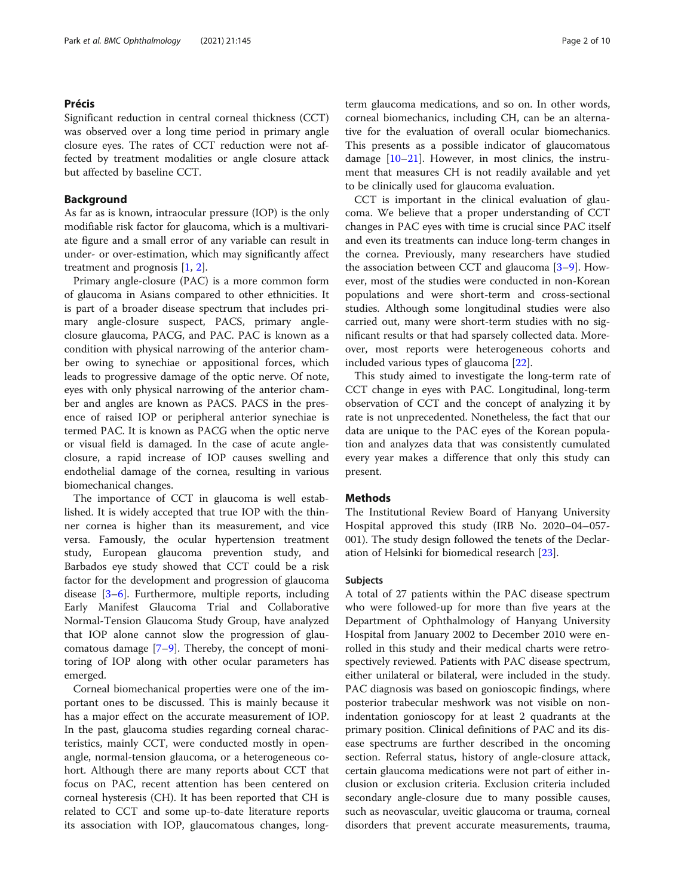# Précis

Significant reduction in central corneal thickness (CCT) was observed over a long time period in primary angle closure eyes. The rates of CCT reduction were not affected by treatment modalities or angle closure attack but affected by baseline CCT.

# Background

As far as is known, intraocular pressure (IOP) is the only modifiable risk factor for glaucoma, which is a multivariate figure and a small error of any variable can result in under- or over-estimation, which may significantly affect treatment and prognosis [\[1,](#page-7-0) [2\]](#page-7-0).

Primary angle-closure (PAC) is a more common form of glaucoma in Asians compared to other ethnicities. It is part of a broader disease spectrum that includes primary angle-closure suspect, PACS, primary angleclosure glaucoma, PACG, and PAC. PAC is known as a condition with physical narrowing of the anterior chamber owing to synechiae or appositional forces, which leads to progressive damage of the optic nerve. Of note, eyes with only physical narrowing of the anterior chamber and angles are known as PACS. PACS in the presence of raised IOP or peripheral anterior synechiae is termed PAC. It is known as PACG when the optic nerve or visual field is damaged. In the case of acute angleclosure, a rapid increase of IOP causes swelling and endothelial damage of the cornea, resulting in various biomechanical changes.

The importance of CCT in glaucoma is well established. It is widely accepted that true IOP with the thinner cornea is higher than its measurement, and vice versa. Famously, the ocular hypertension treatment study, European glaucoma prevention study, and Barbados eye study showed that CCT could be a risk factor for the development and progression of glaucoma disease [\[3](#page-7-0)–[6\]](#page-7-0). Furthermore, multiple reports, including Early Manifest Glaucoma Trial and Collaborative Normal-Tension Glaucoma Study Group, have analyzed that IOP alone cannot slow the progression of glaucomatous damage [[7](#page-7-0)–[9\]](#page-7-0). Thereby, the concept of monitoring of IOP along with other ocular parameters has emerged.

Corneal biomechanical properties were one of the important ones to be discussed. This is mainly because it has a major effect on the accurate measurement of IOP. In the past, glaucoma studies regarding corneal characteristics, mainly CCT, were conducted mostly in openangle, normal-tension glaucoma, or a heterogeneous cohort. Although there are many reports about CCT that focus on PAC, recent attention has been centered on corneal hysteresis (CH). It has been reported that CH is related to CCT and some up-to-date literature reports its association with IOP, glaucomatous changes, longterm glaucoma medications, and so on. In other words, corneal biomechanics, including CH, can be an alternative for the evaluation of overall ocular biomechanics. This presents as a possible indicator of glaucomatous damage [[10](#page-7-0)–[21\]](#page-8-0). However, in most clinics, the instrument that measures CH is not readily available and yet to be clinically used for glaucoma evaluation.

CCT is important in the clinical evaluation of glaucoma. We believe that a proper understanding of CCT changes in PAC eyes with time is crucial since PAC itself and even its treatments can induce long-term changes in the cornea. Previously, many researchers have studied the association between CCT and glaucoma [\[3](#page-7-0)–[9](#page-7-0)]. However, most of the studies were conducted in non-Korean populations and were short-term and cross-sectional studies. Although some longitudinal studies were also carried out, many were short-term studies with no significant results or that had sparsely collected data. Moreover, most reports were heterogeneous cohorts and included various types of glaucoma [[22\]](#page-8-0).

This study aimed to investigate the long-term rate of CCT change in eyes with PAC. Longitudinal, long-term observation of CCT and the concept of analyzing it by rate is not unprecedented. Nonetheless, the fact that our data are unique to the PAC eyes of the Korean population and analyzes data that was consistently cumulated every year makes a difference that only this study can present.

# Methods

The Institutional Review Board of Hanyang University Hospital approved this study (IRB No. 2020–04–057- 001). The study design followed the tenets of the Declaration of Helsinki for biomedical research [\[23\]](#page-8-0).

# Subjects

A total of 27 patients within the PAC disease spectrum who were followed-up for more than five years at the Department of Ophthalmology of Hanyang University Hospital from January 2002 to December 2010 were enrolled in this study and their medical charts were retrospectively reviewed. Patients with PAC disease spectrum, either unilateral or bilateral, were included in the study. PAC diagnosis was based on gonioscopic findings, where posterior trabecular meshwork was not visible on nonindentation gonioscopy for at least 2 quadrants at the primary position. Clinical definitions of PAC and its disease spectrums are further described in the oncoming section. Referral status, history of angle-closure attack, certain glaucoma medications were not part of either inclusion or exclusion criteria. Exclusion criteria included secondary angle-closure due to many possible causes, such as neovascular, uveitic glaucoma or trauma, corneal disorders that prevent accurate measurements, trauma,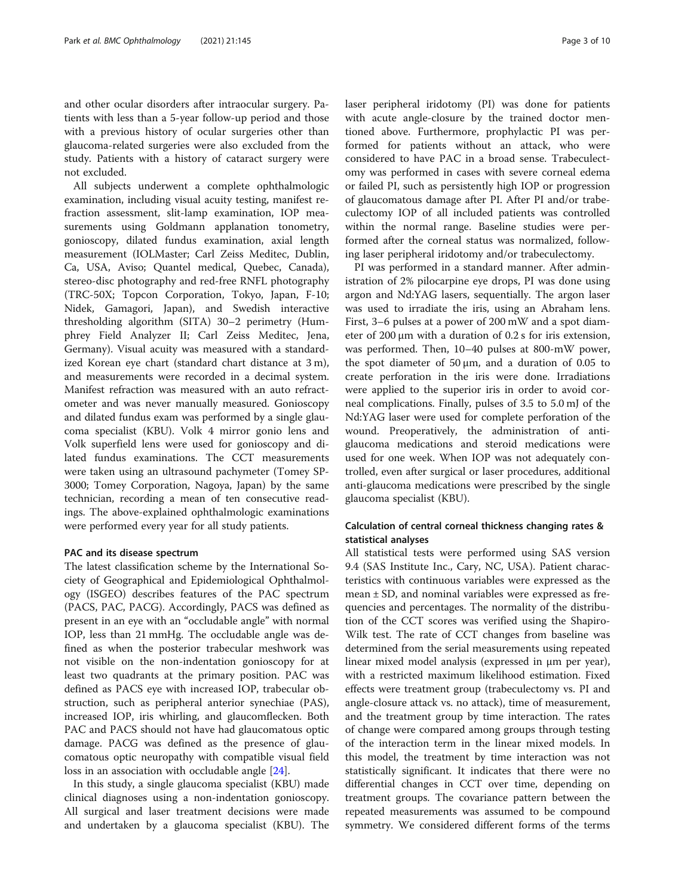and other ocular disorders after intraocular surgery. Patients with less than a 5-year follow-up period and those with a previous history of ocular surgeries other than glaucoma-related surgeries were also excluded from the study. Patients with a history of cataract surgery were not excluded.

All subjects underwent a complete ophthalmologic examination, including visual acuity testing, manifest refraction assessment, slit-lamp examination, IOP measurements using Goldmann applanation tonometry, gonioscopy, dilated fundus examination, axial length measurement (IOLMaster; Carl Zeiss Meditec, Dublin, Ca, USA, Aviso; Quantel medical, Quebec, Canada), stereo-disc photography and red-free RNFL photography (TRC-50X; Topcon Corporation, Tokyo, Japan, F-10; Nidek, Gamagori, Japan), and Swedish interactive thresholding algorithm (SITA) 30–2 perimetry (Humphrey Field Analyzer II; Carl Zeiss Meditec, Jena, Germany). Visual acuity was measured with a standardized Korean eye chart (standard chart distance at 3 m), and measurements were recorded in a decimal system. Manifest refraction was measured with an auto refractometer and was never manually measured. Gonioscopy and dilated fundus exam was performed by a single glaucoma specialist (KBU). Volk 4 mirror gonio lens and Volk superfield lens were used for gonioscopy and dilated fundus examinations. The CCT measurements were taken using an ultrasound pachymeter (Tomey SP-3000; Tomey Corporation, Nagoya, Japan) by the same technician, recording a mean of ten consecutive readings. The above-explained ophthalmologic examinations were performed every year for all study patients.

# PAC and its disease spectrum

The latest classification scheme by the International Society of Geographical and Epidemiological Ophthalmology (ISGEO) describes features of the PAC spectrum (PACS, PAC, PACG). Accordingly, PACS was defined as present in an eye with an "occludable angle" with normal IOP, less than 21 mmHg. The occludable angle was defined as when the posterior trabecular meshwork was not visible on the non-indentation gonioscopy for at least two quadrants at the primary position. PAC was defined as PACS eye with increased IOP, trabecular obstruction, such as peripheral anterior synechiae (PAS), increased IOP, iris whirling, and glaucomflecken. Both PAC and PACS should not have had glaucomatous optic damage. PACG was defined as the presence of glaucomatous optic neuropathy with compatible visual field loss in an association with occludable angle [[24\]](#page-8-0).

In this study, a single glaucoma specialist (KBU) made clinical diagnoses using a non-indentation gonioscopy. All surgical and laser treatment decisions were made and undertaken by a glaucoma specialist (KBU). The laser peripheral iridotomy (PI) was done for patients with acute angle-closure by the trained doctor mentioned above. Furthermore, prophylactic PI was performed for patients without an attack, who were considered to have PAC in a broad sense. Trabeculectomy was performed in cases with severe corneal edema or failed PI, such as persistently high IOP or progression of glaucomatous damage after PI. After PI and/or trabeculectomy IOP of all included patients was controlled within the normal range. Baseline studies were performed after the corneal status was normalized, following laser peripheral iridotomy and/or trabeculectomy.

PI was performed in a standard manner. After administration of 2% pilocarpine eye drops, PI was done using argon and Nd:YAG lasers, sequentially. The argon laser was used to irradiate the iris, using an Abraham lens. First, 3–6 pulses at a power of 200 mW and a spot diameter of 200 μm with a duration of 0.2 s for iris extension, was performed. Then, 10–40 pulses at 800-mW power, the spot diameter of  $50 \mu m$ , and a duration of 0.05 to create perforation in the iris were done. Irradiations were applied to the superior iris in order to avoid corneal complications. Finally, pulses of 3.5 to 5.0 mJ of the Nd:YAG laser were used for complete perforation of the wound. Preoperatively, the administration of antiglaucoma medications and steroid medications were used for one week. When IOP was not adequately controlled, even after surgical or laser procedures, additional anti-glaucoma medications were prescribed by the single glaucoma specialist (KBU).

# Calculation of central corneal thickness changing rates & statistical analyses

All statistical tests were performed using SAS version 9.4 (SAS Institute Inc., Cary, NC, USA). Patient characteristics with continuous variables were expressed as the mean ± SD, and nominal variables were expressed as frequencies and percentages. The normality of the distribution of the CCT scores was verified using the Shapiro-Wilk test. The rate of CCT changes from baseline was determined from the serial measurements using repeated linear mixed model analysis (expressed in μm per year), with a restricted maximum likelihood estimation. Fixed effects were treatment group (trabeculectomy vs. PI and angle-closure attack vs. no attack), time of measurement, and the treatment group by time interaction. The rates of change were compared among groups through testing of the interaction term in the linear mixed models. In this model, the treatment by time interaction was not statistically significant. It indicates that there were no differential changes in CCT over time, depending on treatment groups. The covariance pattern between the repeated measurements was assumed to be compound symmetry. We considered different forms of the terms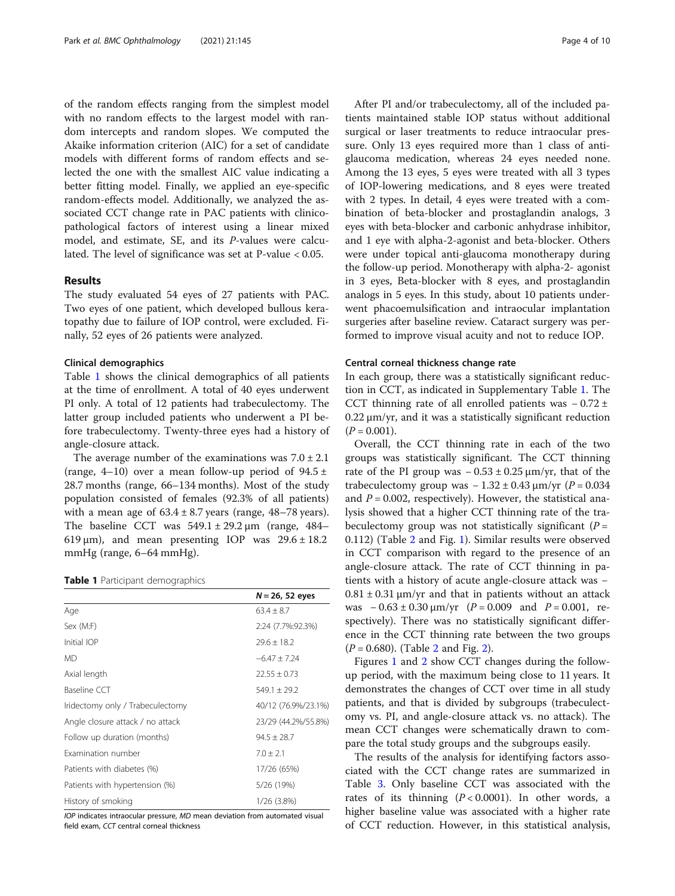of the random effects ranging from the simplest model with no random effects to the largest model with random intercepts and random slopes. We computed the Akaike information criterion (AIC) for a set of candidate models with different forms of random effects and selected the one with the smallest AIC value indicating a better fitting model. Finally, we applied an eye-specific random-effects model. Additionally, we analyzed the associated CCT change rate in PAC patients with clinicopathological factors of interest using a linear mixed model, and estimate, SE, and its P-values were calculated. The level of significance was set at P-value < 0.05.

# Results

The study evaluated 54 eyes of 27 patients with PAC. Two eyes of one patient, which developed bullous keratopathy due to failure of IOP control, were excluded. Finally, 52 eyes of 26 patients were analyzed.

# Clinical demographics

Table 1 shows the clinical demographics of all patients at the time of enrollment. A total of 40 eyes underwent PI only. A total of 12 patients had trabeculectomy. The latter group included patients who underwent a PI before trabeculectomy. Twenty-three eyes had a history of angle-closure attack.

The average number of the examinations was  $7.0 \pm 2.1$ (range, 4–10) over a mean follow-up period of  $94.5 \pm$ 28.7 months (range, 66–134 months). Most of the study population consisted of females (92.3% of all patients) with a mean age of  $63.4 \pm 8.7$  years (range,  $48-78$  years). The baseline CCT was  $549.1 \pm 29.2 \,\mu m$  (range,  $484-$ 619  $\mu$ m), and mean presenting IOP was 29.6  $\pm$  18.2 mmHg (range, 6–64 mmHg).

**Table 1** Participant demographics

|                                  | $N = 26, 52$ eyes   |
|----------------------------------|---------------------|
| Age                              | $63.4 \pm 8.7$      |
| Sex (M:F)                        | 2:24 (7.7%:92.3%)   |
| Initial IOP                      | $29.6 \pm 18.2$     |
| <b>MD</b>                        | $-6.47 \pm 7.24$    |
| Axial length                     | $22.55 \pm 0.73$    |
| Baseline CCT                     | $549.1 \pm 29.2$    |
| Iridectomy only / Trabeculectomy | 40/12 (76.9%/23.1%) |
| Angle closure attack / no attack | 23/29 (44.2%/55.8%) |
| Follow up duration (months)      | $94.5 \pm 28.7$     |
| Examination number               | $7.0 \pm 2.1$       |
| Patients with diabetes (%)       | 17/26 (65%)         |
| Patients with hypertension (%)   | 5/26 (19%)          |
| History of smoking               | 1/26 (3.8%)         |

IOP indicates intraocular pressure, MD mean deviation from automated visual field exam, CCT central corneal thickness

After PI and/or trabeculectomy, all of the included patients maintained stable IOP status without additional surgical or laser treatments to reduce intraocular pressure. Only 13 eyes required more than 1 class of antiglaucoma medication, whereas 24 eyes needed none. Among the 13 eyes, 5 eyes were treated with all 3 types of IOP-lowering medications, and 8 eyes were treated with 2 types. In detail, 4 eyes were treated with a combination of beta-blocker and prostaglandin analogs, 3 eyes with beta-blocker and carbonic anhydrase inhibitor, and 1 eye with alpha-2-agonist and beta-blocker. Others were under topical anti-glaucoma monotherapy during the follow-up period. Monotherapy with alpha-2- agonist in 3 eyes, Beta-blocker with 8 eyes, and prostaglandin analogs in 5 eyes. In this study, about 10 patients underwent phacoemulsification and intraocular implantation surgeries after baseline review. Cataract surgery was performed to improve visual acuity and not to reduce IOP.

# Central corneal thickness change rate

In each group, there was a statistically significant reduction in CCT, as indicated in Supplementary Table [1](#page-7-0). The CCT thinning rate of all enrolled patients was  $-0.72 \pm 1$ 0.22 μm/yr, and it was a statistically significant reduction  $(P = 0.001)$ .

Overall, the CCT thinning rate in each of the two groups was statistically significant. The CCT thinning rate of the PI group was  $-0.53 \pm 0.25 \,\mu m/yr$ , that of the trabeculectomy group was  $-1.32 \pm 0.43$  μm/yr ( $P = 0.034$ and  $P = 0.002$ , respectively). However, the statistical analysis showed that a higher CCT thinning rate of the trabeculectomy group was not statistically significant ( $P =$ 0.112) (Table [2](#page-4-0) and Fig. [1](#page-4-0)). Similar results were observed in CCT comparison with regard to the presence of an angle-closure attack. The rate of CCT thinning in patients with a history of acute angle-closure attack was −  $0.81 \pm 0.31$  μm/yr and that in patients without an attack was  $-0.63 \pm 0.30 \mu m/yr$  ( $P = 0.009$  and  $P = 0.001$ , respectively). There was no statistically significant difference in the CCT thinning rate between the two groups  $(P = 0.680)$ . (Table [2](#page-5-0) and Fig. 2).

Figures [1](#page-4-0) and [2](#page-5-0) show CCT changes during the followup period, with the maximum being close to 11 years. It demonstrates the changes of CCT over time in all study patients, and that is divided by subgroups (trabeculectomy vs. PI, and angle-closure attack vs. no attack). The mean CCT changes were schematically drawn to compare the total study groups and the subgroups easily.

The results of the analysis for identifying factors associated with the CCT change rates are summarized in Table [3](#page-5-0). Only baseline CCT was associated with the rates of its thinning  $(P < 0.0001)$ . In other words, a higher baseline value was associated with a higher rate of CCT reduction. However, in this statistical analysis,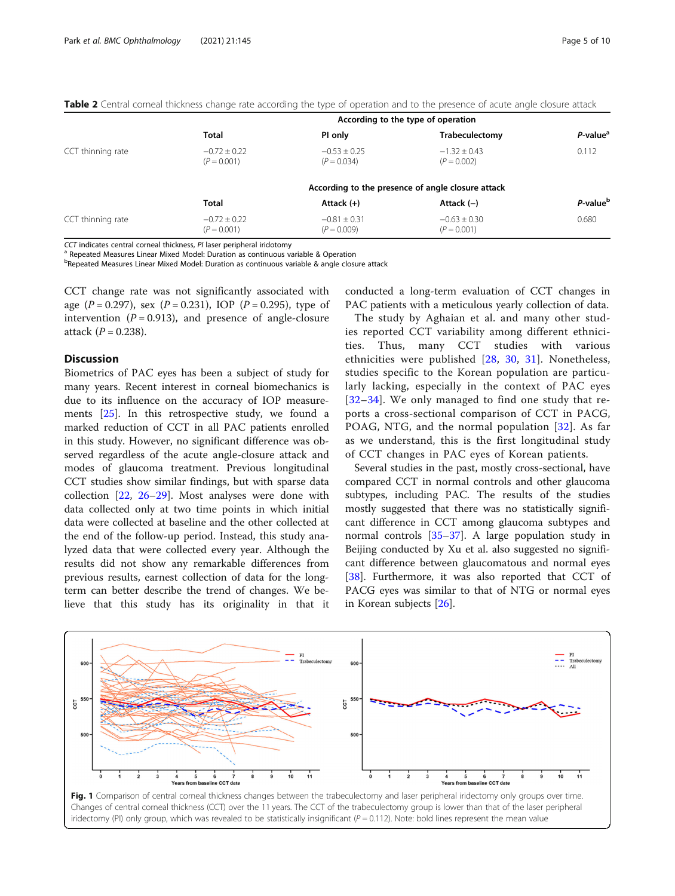|                   | According to the type of operation |                                   |                                   |                      |
|-------------------|------------------------------------|-----------------------------------|-----------------------------------|----------------------|
|                   | <b>Total</b>                       | PI only                           | Trabeculectomy                    | P-value <sup>a</sup> |
| CCT thinning rate | $-0.72 \pm 0.22$<br>$(P = 0.001)$  | $-0.53 \pm 0.25$<br>$(P = 0.034)$ | $-1.32 \pm 0.43$<br>$(P = 0.002)$ | 0.112                |
|                   |                                    |                                   |                                   |                      |
|                   | <b>Total</b>                       | Attack $(+)$                      | Attack $(-)$                      | P-value <sup>b</sup> |
| CCT thinning rate | $-0.72 \pm 0.22$<br>$(P = 0.001)$  | $-0.81 \pm 0.31$<br>$(P = 0.009)$ | $-0.63 \pm 0.30$<br>$(P = 0.001)$ | 0.680                |

<span id="page-4-0"></span>

|  |  |  | Table 2 Central corneal thickness change rate according the type of operation and to the presence of acute angle closure attack |
|--|--|--|---------------------------------------------------------------------------------------------------------------------------------|
|  |  |  |                                                                                                                                 |

CCT indicates central corneal thickness, PI laser peripheral iridotomy<br><sup>a</sup> Repeated Measures Linear Mixed Model: Duration as continuous variable & Operation

<sup>b</sup>Repeated Measures Linear Mixed Model: Duration as continuous variable & angle closure attack

CCT change rate was not significantly associated with age  $(P = 0.297)$ , sex  $(P = 0.231)$ , IOP  $(P = 0.295)$ , type of intervention ( $P = 0.913$ ), and presence of angle-closure attack  $(P = 0.238)$ .

# **Discussion**

Biometrics of PAC eyes has been a subject of study for many years. Recent interest in corneal biomechanics is due to its influence on the accuracy of IOP measurements [\[25](#page-8-0)]. In this retrospective study, we found a marked reduction of CCT in all PAC patients enrolled in this study. However, no significant difference was observed regardless of the acute angle-closure attack and modes of glaucoma treatment. Previous longitudinal CCT studies show similar findings, but with sparse data collection [[22,](#page-8-0) [26](#page-8-0)–[29\]](#page-8-0). Most analyses were done with data collected only at two time points in which initial data were collected at baseline and the other collected at the end of the follow-up period. Instead, this study analyzed data that were collected every year. Although the results did not show any remarkable differences from previous results, earnest collection of data for the longterm can better describe the trend of changes. We believe that this study has its originality in that it conducted a long-term evaluation of CCT changes in PAC patients with a meticulous yearly collection of data.

The study by Aghaian et al. and many other studies reported CCT variability among different ethnicities. Thus, many CCT studies with various ethnicities were published [\[28,](#page-8-0) [30](#page-8-0), [31\]](#page-8-0). Nonetheless, studies specific to the Korean population are particularly lacking, especially in the context of PAC eyes [[32](#page-8-0)–[34\]](#page-8-0). We only managed to find one study that reports a cross-sectional comparison of CCT in PACG, POAG, NTG, and the normal population [\[32](#page-8-0)]. As far as we understand, this is the first longitudinal study of CCT changes in PAC eyes of Korean patients.

Several studies in the past, mostly cross-sectional, have compared CCT in normal controls and other glaucoma subtypes, including PAC. The results of the studies mostly suggested that there was no statistically significant difference in CCT among glaucoma subtypes and normal controls [[35](#page-8-0)–[37](#page-8-0)]. A large population study in Beijing conducted by Xu et al. also suggested no significant difference between glaucomatous and normal eyes [[38\]](#page-8-0). Furthermore, it was also reported that CCT of PACG eyes was similar to that of NTG or normal eyes in Korean subjects [[26](#page-8-0)].



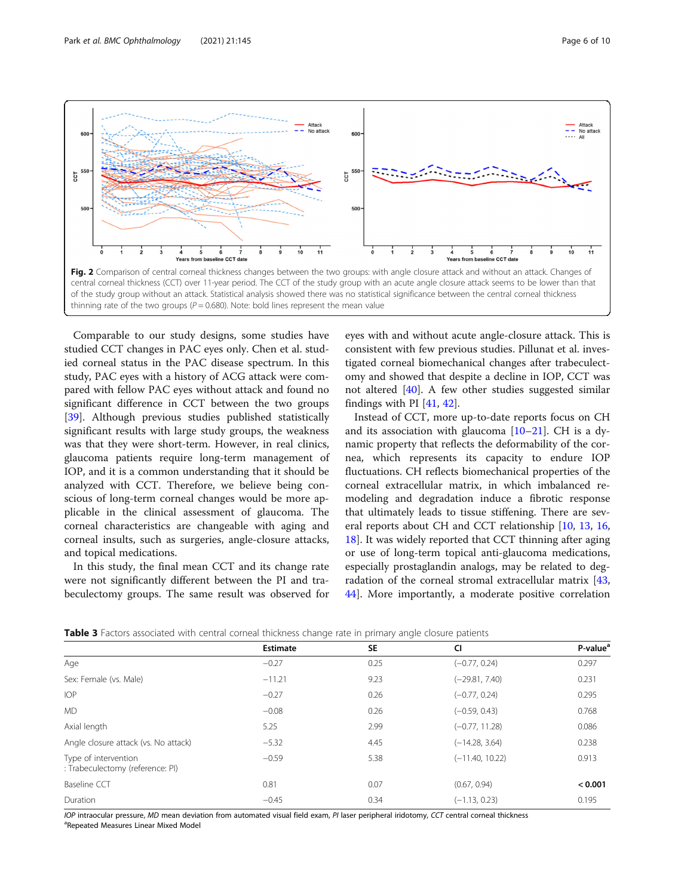<span id="page-5-0"></span>

Comparable to our study designs, some studies have studied CCT changes in PAC eyes only. Chen et al. studied corneal status in the PAC disease spectrum. In this study, PAC eyes with a history of ACG attack were compared with fellow PAC eyes without attack and found no significant difference in CCT between the two groups [[39\]](#page-8-0). Although previous studies published statistically significant results with large study groups, the weakness was that they were short-term. However, in real clinics, glaucoma patients require long-term management of IOP, and it is a common understanding that it should be analyzed with CCT. Therefore, we believe being conscious of long-term corneal changes would be more applicable in the clinical assessment of glaucoma. The corneal characteristics are changeable with aging and corneal insults, such as surgeries, angle-closure attacks, and topical medications.

In this study, the final mean CCT and its change rate were not significantly different between the PI and trabeculectomy groups. The same result was observed for eyes with and without acute angle-closure attack. This is consistent with few previous studies. Pillunat et al. investigated corneal biomechanical changes after trabeculectomy and showed that despite a decline in IOP, CCT was not altered [\[40](#page-8-0)]. A few other studies suggested similar findings with PI [[41,](#page-8-0) [42\]](#page-8-0).

Instead of CCT, more up-to-date reports focus on CH and its association with glaucoma [[10](#page-7-0)–[21](#page-8-0)]. CH is a dynamic property that reflects the deformability of the cornea, which represents its capacity to endure IOP fluctuations. CH reflects biomechanical properties of the corneal extracellular matrix, in which imbalanced remodeling and degradation induce a fibrotic response that ultimately leads to tissue stiffening. There are several reports about CH and CCT relationship [[10,](#page-7-0) [13](#page-7-0), [16](#page-8-0), [18\]](#page-8-0). It was widely reported that CCT thinning after aging or use of long-term topical anti-glaucoma medications, especially prostaglandin analogs, may be related to degradation of the corneal stromal extracellular matrix [[43](#page-8-0), [44\]](#page-8-0). More importantly, a moderate positive correlation

| Table 3 Factors associated with central corneal thickness change rate in primary angle closure patients |  |  |  |
|---------------------------------------------------------------------------------------------------------|--|--|--|
|---------------------------------------------------------------------------------------------------------|--|--|--|

|                                                          | <b>Estimate</b> | <b>SE</b> | CI                | P-value <sup>a</sup> |
|----------------------------------------------------------|-----------------|-----------|-------------------|----------------------|
| Age                                                      | $-0.27$         | 0.25      | $(-0.77, 0.24)$   | 0.297                |
| Sex: Female (vs. Male)                                   | $-11.21$        | 9.23      | (-29.81, 7.40)    | 0.231                |
| <b>IOP</b>                                               | $-0.27$         | 0.26      | $(-0.77, 0.24)$   | 0.295                |
| <b>MD</b>                                                | $-0.08$         | 0.26      | $(-0.59, 0.43)$   | 0.768                |
| Axial length                                             | 5.25            | 2.99      | $(-0.77, 11.28)$  | 0.086                |
| Angle closure attack (vs. No attack)                     | $-5.32$         | 4.45      | $(-14.28, 3.64)$  | 0.238                |
| Type of intervention<br>: Trabeculectomy (reference: PI) | $-0.59$         | 5.38      | $(-11.40, 10.22)$ | 0.913                |
| <b>Baseline CCT</b>                                      | 0.81            | 0.07      | (0.67, 0.94)      | < 0.001              |
| Duration                                                 | $-0.45$         | 0.34      | $(-1.13, 0.23)$   | 0.195                |

IOP intraocular pressure, MD mean deviation from automated visual field exam, PI laser peripheral iridotomy, CCT central corneal thickness Repeated Measures Linear Mixed Model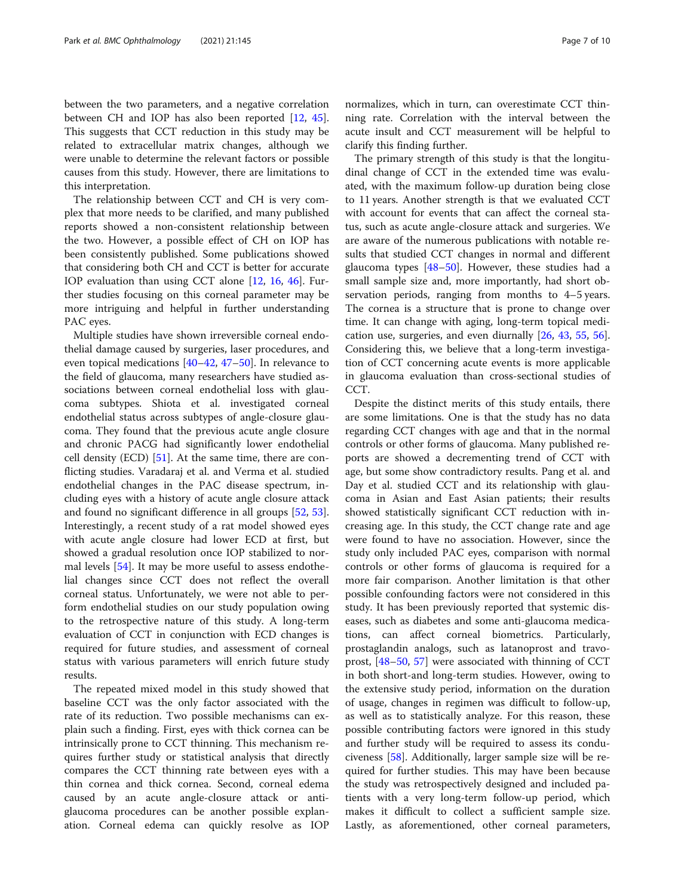between the two parameters, and a negative correlation between CH and IOP has also been reported [[12,](#page-7-0) [45](#page-8-0)]. This suggests that CCT reduction in this study may be related to extracellular matrix changes, although we were unable to determine the relevant factors or possible causes from this study. However, there are limitations to this interpretation.

The relationship between CCT and CH is very complex that more needs to be clarified, and many published reports showed a non-consistent relationship between the two. However, a possible effect of CH on IOP has been consistently published. Some publications showed that considering both CH and CCT is better for accurate IOP evaluation than using CCT alone [[12](#page-7-0), [16](#page-8-0), [46\]](#page-8-0). Further studies focusing on this corneal parameter may be more intriguing and helpful in further understanding PAC eyes.

Multiple studies have shown irreversible corneal endothelial damage caused by surgeries, laser procedures, and even topical medications [\[40](#page-8-0)–[42](#page-8-0), [47](#page-8-0)–[50\]](#page-8-0). In relevance to the field of glaucoma, many researchers have studied associations between corneal endothelial loss with glaucoma subtypes. Shiota et al. investigated corneal endothelial status across subtypes of angle-closure glaucoma. They found that the previous acute angle closure and chronic PACG had significantly lower endothelial cell density (ECD) [[51](#page-8-0)]. At the same time, there are conflicting studies. Varadaraj et al. and Verma et al. studied endothelial changes in the PAC disease spectrum, including eyes with a history of acute angle closure attack and found no significant difference in all groups [\[52](#page-8-0), [53](#page-8-0)]. Interestingly, a recent study of a rat model showed eyes with acute angle closure had lower ECD at first, but showed a gradual resolution once IOP stabilized to normal levels [\[54](#page-8-0)]. It may be more useful to assess endothelial changes since CCT does not reflect the overall corneal status. Unfortunately, we were not able to perform endothelial studies on our study population owing to the retrospective nature of this study. A long-term evaluation of CCT in conjunction with ECD changes is required for future studies, and assessment of corneal status with various parameters will enrich future study results.

The repeated mixed model in this study showed that baseline CCT was the only factor associated with the rate of its reduction. Two possible mechanisms can explain such a finding. First, eyes with thick cornea can be intrinsically prone to CCT thinning. This mechanism requires further study or statistical analysis that directly compares the CCT thinning rate between eyes with a thin cornea and thick cornea. Second, corneal edema caused by an acute angle-closure attack or antiglaucoma procedures can be another possible explanation. Corneal edema can quickly resolve as IOP

normalizes, which in turn, can overestimate CCT thinning rate. Correlation with the interval between the acute insult and CCT measurement will be helpful to clarify this finding further.

The primary strength of this study is that the longitudinal change of CCT in the extended time was evaluated, with the maximum follow-up duration being close to 11 years. Another strength is that we evaluated CCT with account for events that can affect the corneal status, such as acute angle-closure attack and surgeries. We are aware of the numerous publications with notable results that studied CCT changes in normal and different glaucoma types  $[48-50]$  $[48-50]$  $[48-50]$ . However, these studies had a small sample size and, more importantly, had short observation periods, ranging from months to 4–5 years. The cornea is a structure that is prone to change over time. It can change with aging, long-term topical medication use, surgeries, and even diurnally [\[26](#page-8-0), [43,](#page-8-0) [55,](#page-8-0) [56](#page-9-0)]. Considering this, we believe that a long-term investigation of CCT concerning acute events is more applicable in glaucoma evaluation than cross-sectional studies of CCT.

Despite the distinct merits of this study entails, there are some limitations. One is that the study has no data regarding CCT changes with age and that in the normal controls or other forms of glaucoma. Many published reports are showed a decrementing trend of CCT with age, but some show contradictory results. Pang et al. and Day et al. studied CCT and its relationship with glaucoma in Asian and East Asian patients; their results showed statistically significant CCT reduction with increasing age. In this study, the CCT change rate and age were found to have no association. However, since the study only included PAC eyes, comparison with normal controls or other forms of glaucoma is required for a more fair comparison. Another limitation is that other possible confounding factors were not considered in this study. It has been previously reported that systemic diseases, such as diabetes and some anti-glaucoma medications, can affect corneal biometrics. Particularly, prostaglandin analogs, such as latanoprost and travoprost, [\[48](#page-8-0)–[50,](#page-8-0) [57](#page-9-0)] were associated with thinning of CCT in both short-and long-term studies. However, owing to the extensive study period, information on the duration of usage, changes in regimen was difficult to follow-up, as well as to statistically analyze. For this reason, these possible contributing factors were ignored in this study and further study will be required to assess its conduciveness [[58](#page-9-0)]. Additionally, larger sample size will be required for further studies. This may have been because the study was retrospectively designed and included patients with a very long-term follow-up period, which makes it difficult to collect a sufficient sample size. Lastly, as aforementioned, other corneal parameters,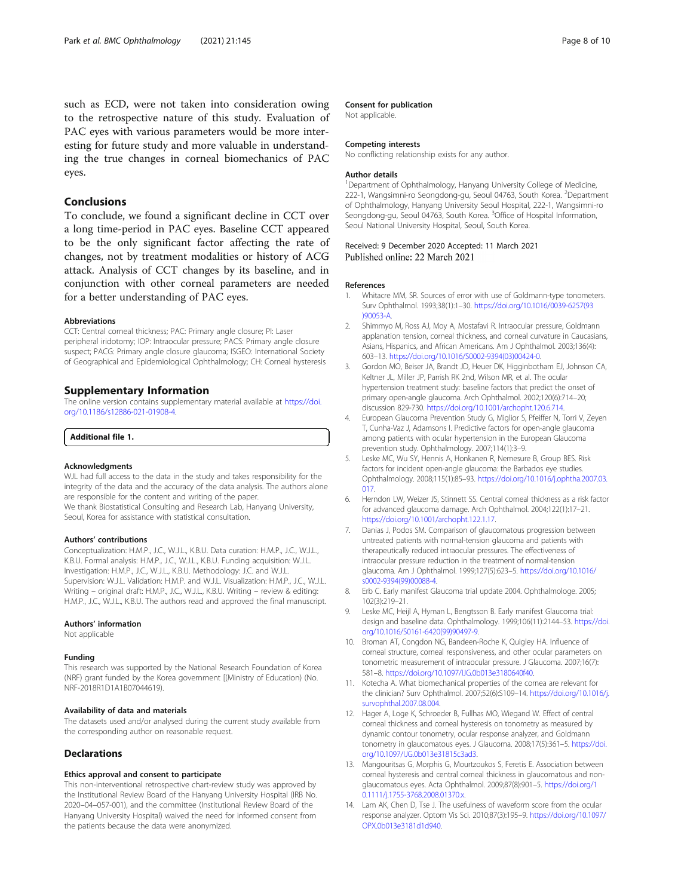<span id="page-7-0"></span>such as ECD, were not taken into consideration owing to the retrospective nature of this study. Evaluation of PAC eyes with various parameters would be more interesting for future study and more valuable in understanding the true changes in corneal biomechanics of PAC eyes.

# Conclusions

To conclude, we found a significant decline in CCT over a long time-period in PAC eyes. Baseline CCT appeared to be the only significant factor affecting the rate of changes, not by treatment modalities or history of ACG attack. Analysis of CCT changes by its baseline, and in conjunction with other corneal parameters are needed for a better understanding of PAC eyes.

#### Abbreviations

CCT: Central corneal thickness; PAC: Primary angle closure; PI: Laser peripheral iridotomy; IOP: Intraocular pressure; PACS: Primary angle closure suspect; PACG: Primary angle closure glaucoma; ISGEO: International Society of Geographical and Epidemiological Ophthalmology; CH: Corneal hysteresis

# Supplementary Information

The online version contains supplementary material available at [https://doi.](https://doi.org/10.1186/s12886-021-01908-4) [org/10.1186/s12886-021-01908-4.](https://doi.org/10.1186/s12886-021-01908-4)

#### Additional file 1.

#### Acknowledgments

WJL had full access to the data in the study and takes responsibility for the integrity of the data and the accuracy of the data analysis. The authors alone are responsible for the content and writing of the paper. We thank Biostatistical Consulting and Research Lab, Hanyang University, Seoul, Korea for assistance with statistical consultation.

#### Authors' contributions

Conceptualization: H.M.P., J.C., W.J.L., K.B.U. Data curation: H.M.P., J.C., W.J.L., K.B.U. Formal analysis: H.M.P., J.C., W.J.L., K.B.U. Funding acquisition: W.J.L. Investigation: H.M.P., J.C., W.J.L., K.B.U. Methodology: J.C. and W.J.L. Supervision: W.J.L. Validation: H.M.P. and W.J.L. Visualization: H.M.P., J.C., W.J.L. Writing – original draft: H.M.P., J.C., W.J.L., K.B.U. Writing – review & editing: H.M.P., J.C., W.J.L., K.B.U. The authors read and approved the final manuscript.

#### Authors' information

Not applicable

# Funding

This research was supported by the National Research Foundation of Korea (NRF) grant funded by the Korea government [(Ministry of Education) (No. NRF-2018R1D1A1B07044619).

#### Availability of data and materials

The datasets used and/or analysed during the current study available from the corresponding author on reasonable request.

# Declarations

#### Ethics approval and consent to participate

This non-interventional retrospective chart-review study was approved by the Institutional Review Board of the Hanyang University Hospital (IRB No. 2020–04–057-001), and the committee (Institutional Review Board of the Hanyang University Hospital) waived the need for informed consent from the patients because the data were anonymized.

# Consent for publication

Not applicable.

#### Competing interests

No conflicting relationship exists for any author.

#### Author details

<sup>1</sup>Department of Ophthalmology, Hanyang University College of Medicine, 222-1, Wangsimni-ro Seongdong-gu, Seoul 04763, South Korea. <sup>2</sup>Department of Ophthalmology, Hanyang University Seoul Hospital, 222-1, Wangsimni-ro Seongdong-gu, Seoul 04763, South Korea. <sup>3</sup>Office of Hospital Information, Seoul National University Hospital, Seoul, South Korea.

# Received: 9 December 2020 Accepted: 11 March 2021 Published online: 22 March 2021

#### References

- Whitacre MM, SR. Sources of error with use of Goldmann-type tonometers. Surv Ophthalmol. 1993;38(1):1–30. [https://doi.org/10.1016/0039-6257\(93](https://doi.org/10.1016/0039-6257(93)90053-A) [\)90053-A.](https://doi.org/10.1016/0039-6257(93)90053-A)
- 2. Shimmyo M, Ross AJ, Moy A, Mostafavi R. Intraocular pressure, Goldmann applanation tension, corneal thickness, and corneal curvature in Caucasians, Asians, Hispanics, and African Americans. Am J Ophthalmol. 2003;136(4): 603–13. [https://doi.org/10.1016/S0002-9394\(03\)00424-0.](https://doi.org/10.1016/S0002-9394(03)00424-0)
- 3. Gordon MO, Beiser JA, Brandt JD, Heuer DK, Higginbotham EJ, Johnson CA, Keltner JL, Miller JP, Parrish RK 2nd, Wilson MR, et al. The ocular hypertension treatment study: baseline factors that predict the onset of primary open-angle glaucoma. Arch Ophthalmol. 2002;120(6):714–20; discussion 829-730. <https://doi.org/10.1001/archopht.120.6.714>.
- 4. European Glaucoma Prevention Study G, Miglior S, Pfeiffer N, Torri V, Zeyen T, Cunha-Vaz J, Adamsons I. Predictive factors for open-angle glaucoma among patients with ocular hypertension in the European Glaucoma prevention study. Ophthalmology. 2007;114(1):3–9.
- Leske MC, Wu SY, Hennis A, Honkanen R, Nemesure B, Group BES. Risk factors for incident open-angle glaucoma: the Barbados eye studies. Ophthalmology. 2008;115(1):85–93. [https://doi.org/10.1016/j.ophtha.2007.03.](https://doi.org/10.1016/j.ophtha.2007.03.017) [017.](https://doi.org/10.1016/j.ophtha.2007.03.017)
- 6. Herndon LW, Weizer JS, Stinnett SS. Central corneal thickness as a risk factor for advanced glaucoma damage. Arch Ophthalmol. 2004;122(1):17–21. [https://doi.org/10.1001/archopht.122.1.17.](https://doi.org/10.1001/archopht.122.1.17)
- 7. Danias J, Podos SM. Comparison of glaucomatous progression between untreated patients with normal-tension glaucoma and patients with therapeutically reduced intraocular pressures. The effectiveness of intraocular pressure reduction in the treatment of normal-tension glaucoma. Am J Ophthalmol. 1999;127(5):623–5. [https://doi.org/10.1016/](https://doi.org/10.1016/s0002-9394(99)00088-4) [s0002-9394\(99\)00088-4.](https://doi.org/10.1016/s0002-9394(99)00088-4)
- 8. Erb C. Early manifest Glaucoma trial update 2004. Ophthalmologe. 2005; 102(3):219–21.
- 9. Leske MC, Heijl A, Hyman L, Bengtsson B. Early manifest Glaucoma trial: design and baseline data. Ophthalmology. 1999;106(11):2144–53. [https://doi.](https://doi.org/10.1016/S0161-6420(99)90497-9) [org/10.1016/S0161-6420\(99\)90497-9.](https://doi.org/10.1016/S0161-6420(99)90497-9)
- 10. Broman AT, Congdon NG, Bandeen-Roche K, Quigley HA. Influence of corneal structure, corneal responsiveness, and other ocular parameters on tonometric measurement of intraocular pressure. J Glaucoma. 2007;16(7): 581–8. <https://doi.org/10.1097/IJG.0b013e3180640f40>.
- 11. Kotecha A. What biomechanical properties of the cornea are relevant for the clinician? Surv Ophthalmol. 2007;52(6):S109–14. [https://doi.org/10.1016/j.](https://doi.org/10.1016/j.survophthal.2007.08.004) [survophthal.2007.08.004.](https://doi.org/10.1016/j.survophthal.2007.08.004)
- 12. Hager A, Loge K, Schroeder B, Fullhas MO, Wiegand W. Effect of central corneal thickness and corneal hysteresis on tonometry as measured by dynamic contour tonometry, ocular response analyzer, and Goldmann tonometry in glaucomatous eyes. J Glaucoma. 2008;17(5):361–5. [https://doi.](https://doi.org/10.1097/IJG.0b013e31815c3ad3) [org/10.1097/IJG.0b013e31815c3ad3](https://doi.org/10.1097/IJG.0b013e31815c3ad3).
- 13. Mangouritsas G, Morphis G, Mourtzoukos S, Feretis E. Association between corneal hysteresis and central corneal thickness in glaucomatous and nonglaucomatous eyes. Acta Ophthalmol. 2009;87(8):901–5. [https://doi.org/1](https://doi.org/10.1111/j.1755-3768.2008.01370.x) [0.1111/j.1755-3768.2008.01370.x.](https://doi.org/10.1111/j.1755-3768.2008.01370.x)
- 14. Lam AK, Chen D, Tse J. The usefulness of waveform score from the ocular response analyzer. Optom Vis Sci. 2010;87(3):195–9. [https://doi.org/10.1097/](https://doi.org/10.1097/OPX.0b013e3181d1d940) [OPX.0b013e3181d1d940](https://doi.org/10.1097/OPX.0b013e3181d1d940).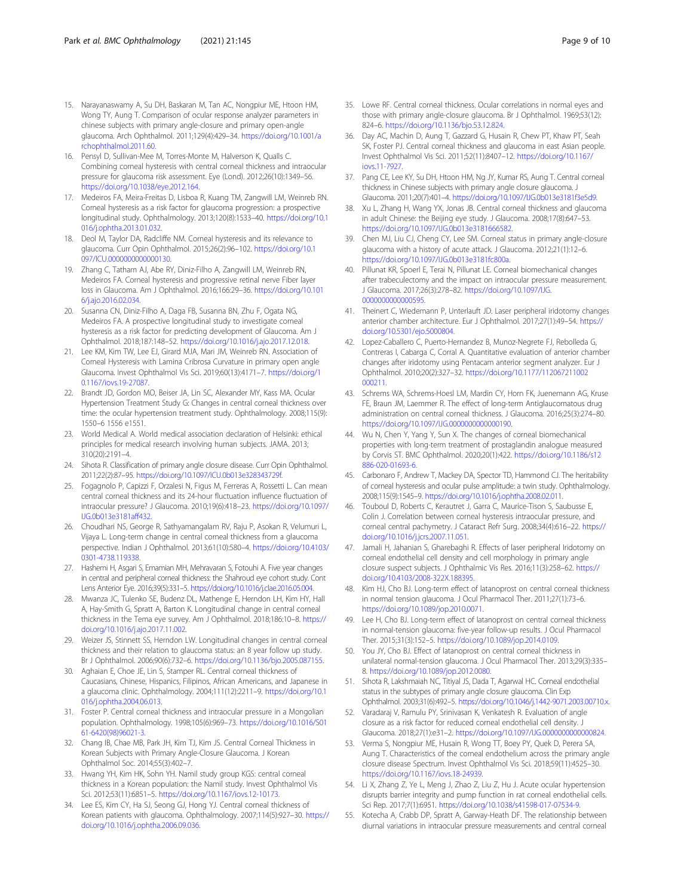- <span id="page-8-0"></span>15. Narayanaswamy A, Su DH, Baskaran M, Tan AC, Nongpiur ME, Htoon HM, Wong TY, Aung T. Comparison of ocular response analyzer parameters in chinese subjects with primary angle-closure and primary open-angle glaucoma. Arch Ophthalmol. 2011;129(4):429–34. [https://doi.org/10.1001/a](https://doi.org/10.1001/archophthalmol.2011.60) [rchophthalmol.2011.60.](https://doi.org/10.1001/archophthalmol.2011.60)
- 16. Pensyl D, Sullivan-Mee M, Torres-Monte M, Halverson K, Qualls C. Combining corneal hysteresis with central corneal thickness and intraocular pressure for glaucoma risk assessment. Eye (Lond). 2012;26(10):1349–56. <https://doi.org/10.1038/eye.2012.164>.
- 17. Medeiros FA, Meira-Freitas D, Lisboa R, Kuang TM, Zangwill LM, Weinreb RN. Corneal hysteresis as a risk factor for glaucoma progression: a prospective longitudinal study. Ophthalmology. 2013;120(8):1533–40. [https://doi.org/10.1](https://doi.org/10.1016/j.ophtha.2013.01.032) [016/j.ophtha.2013.01.032.](https://doi.org/10.1016/j.ophtha.2013.01.032)
- 18. Deol M, Taylor DA, Radcliffe NM. Corneal hysteresis and its relevance to glaucoma. Curr Opin Ophthalmol. 2015;26(2):96–102. [https://doi.org/10.1](https://doi.org/10.1097/ICU.0000000000000130) 097/ICU.00000000000000130.
- 19. Zhang C, Tatham AJ, Abe RY, Diniz-Filho A, Zangwill LM, Weinreb RN, Medeiros FA. Corneal hysteresis and progressive retinal nerve Fiber layer loss in Glaucoma. Am J Ophthalmol. 2016;166:29–36. [https://doi.org/10.101](https://doi.org/10.1016/j.ajo.2016.02.034) [6/j.ajo.2016.02.034.](https://doi.org/10.1016/j.ajo.2016.02.034)
- 20. Susanna CN, Diniz-Filho A, Daga FB, Susanna BN, Zhu F, Ogata NG, Medeiros FA. A prospective longitudinal study to investigate corneal hysteresis as a risk factor for predicting development of Glaucoma. Am J Ophthalmol. 2018;187:148–52. [https://doi.org/10.1016/j.ajo.2017.12.018.](https://doi.org/10.1016/j.ajo.2017.12.018)
- 21. Lee KM, Kim TW, Lee EJ, Girard MJA, Mari JM, Weinreb RN. Association of Corneal Hysteresis with Lamina Cribrosa Curvature in primary open angle Glaucoma. Invest Ophthalmol Vis Sci. 2019;60(13):4171–7. [https://doi.org/1](https://doi.org/10.1167/iovs.19-27087) [0.1167/iovs.19-27087.](https://doi.org/10.1167/iovs.19-27087)
- 22. Brandt JD, Gordon MO, Beiser JA, Lin SC, Alexander MY, Kass MA. Ocular Hypertension Treatment Study G: Changes in central corneal thickness over time: the ocular hypertension treatment study. Ophthalmology. 2008;115(9): 1550–6 1556 e1551.
- 23. World Medical A. World medical association declaration of Helsinki: ethical principles for medical research involving human subjects. JAMA. 2013; 310(20):2191–4.
- 24. Sihota R. Classification of primary angle closure disease. Curr Opin Ophthalmol. 2011;22(2):87–95. <https://doi.org/10.1097/ICU.0b013e328343729f>.
- 25. Fogagnolo P, Capizzi F, Orzalesi N, Figus M, Ferreras A, Rossetti L. Can mean central corneal thickness and its 24-hour fluctuation influence fluctuation of intraocular pressure? J Glaucoma. 2010;19(6):418–23. [https://doi.org/10.1097/](https://doi.org/10.1097/IJG.0b013e3181aff432) [IJG.0b013e3181aff432.](https://doi.org/10.1097/IJG.0b013e3181aff432)
- 26. Choudhari NS, George R, Sathyamangalam RV, Raju P, Asokan R, Velumuri L, Vijaya L. Long-term change in central corneal thickness from a glaucoma perspective. Indian J Ophthalmol. 2013;61(10):580–4. [https://doi.org/10.4103/](https://doi.org/10.4103/0301-4738.119338) [0301-4738.119338.](https://doi.org/10.4103/0301-4738.119338)
- 27. Hashemi H, Asgari S, Emamian MH, Mehravaran S, Fotouhi A. Five year changes in central and peripheral corneal thickness: the Shahroud eye cohort study. Cont Lens Anterior Eye. 2016;39(5):331–5. [https://doi.org/10.1016/j.clae.2016.05.004.](https://doi.org/10.1016/j.clae.2016.05.004)
- 28. Mwanza JC, Tulenko SE, Budenz DL, Mathenge E, Herndon LH, Kim HY, Hall A, Hay-Smith G, Spratt A, Barton K. Longitudinal change in central corneal thickness in the Tema eye survey. Am J Ophthalmol. 2018;186:10–8. [https://](https://doi.org/10.1016/j.ajo.2017.11.002) [doi.org/10.1016/j.ajo.2017.11.002.](https://doi.org/10.1016/j.ajo.2017.11.002)
- 29. Weizer JS, Stinnett SS, Herndon LW. Longitudinal changes in central corneal thickness and their relation to glaucoma status: an 8 year follow up study. Br J Ophthalmol. 2006;90(6):732–6. [https://doi.org/10.1136/bjo.2005.087155.](https://doi.org/10.1136/bjo.2005.087155)
- 30. Aghaian E, Choe JE, Lin S, Stamper RL. Central corneal thickness of Caucasians, Chinese, Hispanics, Filipinos, African Americans, and Japanese in a glaucoma clinic. Ophthalmology. 2004;111(12):2211–9. [https://doi.org/10.1](https://doi.org/10.1016/j.ophtha.2004.06.013) [016/j.ophtha.2004.06.013.](https://doi.org/10.1016/j.ophtha.2004.06.013)
- 31. Foster P. Central corneal thickness and intraocular pressure in a Mongolian population. Ophthalmology. 1998;105(6):969–73. [https://doi.org/10.1016/S01](https://doi.org/10.1016/S0161-6420(98)96021-3) [61-6420\(98\)96021-3](https://doi.org/10.1016/S0161-6420(98)96021-3).
- 32. Chang IB, Chae MB, Park JH, Kim TJ, Kim JS. Central Corneal Thickness in Korean Subjects with Primary Angle-Closure Glaucoma. J Korean Ophthalmol Soc. 2014;55(3):402–7.
- 33. Hwang YH, Kim HK, Sohn YH. Namil study group KGS: central corneal thickness in a Korean population: the Namil study. Invest Ophthalmol Vis Sci. 2012;53(11):6851–5. [https://doi.org/10.1167/iovs.12-10173.](https://doi.org/10.1167/iovs.12-10173)
- 34. Lee ES, Kim CY, Ha SJ, Seong GJ, Hong YJ. Central corneal thickness of Korean patients with glaucoma. Ophthalmology. 2007;114(5):927–30. [https://](https://doi.org/10.1016/j.ophtha.2006.09.036) [doi.org/10.1016/j.ophtha.2006.09.036.](https://doi.org/10.1016/j.ophtha.2006.09.036)
- 35. Lowe RF. Central corneal thickness. Ocular correlations in normal eyes and those with primary angle-closure glaucoma. Br J Ophthalmol. 1969;53(12): 824–6. <https://doi.org/10.1136/bjo.53.12.824>.
- 36. Day AC, Machin D, Aung T, Gazzard G, Husain R, Chew PT, Khaw PT, Seah SK, Foster PJ. Central corneal thickness and glaucoma in east Asian people. Invest Ophthalmol Vis Sci. 2011;52(11):8407–12. [https://doi.org/10.1167/](https://doi.org/10.1167/iovs.11-7927) [iovs.11-7927.](https://doi.org/10.1167/iovs.11-7927)
- 37. Pang CE, Lee KY, Su DH, Htoon HM, Ng JY, Kumar RS, Aung T. Central corneal thickness in Chinese subjects with primary angle closure glaucoma. J Glaucoma. 2011;20(7):401–4. <https://doi.org/10.1097/IJG.0b013e3181f3e5d9>.
- 38. Xu L, Zhang H, Wang YX, Jonas JB. Central corneal thickness and glaucoma in adult Chinese: the Beijing eye study. J Glaucoma. 2008;17(8):647–53. [https://doi.org/10.1097/IJG.0b013e3181666582.](https://doi.org/10.1097/IJG.0b013e3181666582)
- 39. Chen MJ, Liu CJ, Cheng CY, Lee SM. Corneal status in primary angle-closure glaucoma with a history of acute attack. J Glaucoma. 2012;21(1):12–6. <https://doi.org/10.1097/IJG.0b013e3181fc800a>.
- 40. Pillunat KR, Spoerl E, Terai N, Pillunat LE. Corneal biomechanical changes after trabeculectomy and the impact on intraocular pressure measurement. J Glaucoma. 2017;26(3):278–82. [https://doi.org/10.1097/IJG.](https://doi.org/10.1097/IJG.0000000000000595) [0000000000000595](https://doi.org/10.1097/IJG.0000000000000595).
- 41. Theinert C, Wiedemann P, Unterlauft JD. Laser peripheral iridotomy changes anterior chamber architecture. Eur J Ophthalmol. 2017;27(1):49–54. [https://](https://doi.org/10.5301/ejo.5000804) [doi.org/10.5301/ejo.5000804](https://doi.org/10.5301/ejo.5000804).
- 42. Lopez-Caballero C, Puerto-Hernandez B, Munoz-Negrete FJ, Rebolleda G, Contreras I, Cabarga C, Corral A. Quantitative evaluation of anterior chamber changes after iridotomy using Pentacam anterior segment analyzer. Eur J Ophthalmol. 2010;20(2):327–32. [https://doi.org/10.1177/112067211002](https://doi.org/10.1177/112067211002000211) [000211](https://doi.org/10.1177/112067211002000211).
- 43. Schrems WA, Schrems-Hoesl LM, Mardin CY, Horn FK, Juenemann AG, Kruse FE, Braun JM, Laemmer R. The effect of long-term Antiglaucomatous drug administration on central corneal thickness. J Glaucoma. 2016;25(3):274–80. <https://doi.org/10.1097/IJG.0000000000000190>.
- 44. Wu N, Chen Y, Yang Y, Sun X. The changes of corneal biomechanical properties with long-term treatment of prostaglandin analogue measured by Corvis ST. BMC Ophthalmol. 2020;20(1):422. [https://doi.org/10.1186/s12](https://doi.org/10.1186/s12886-020-01693-6) [886-020-01693-6.](https://doi.org/10.1186/s12886-020-01693-6)
- 45. Carbonaro F, Andrew T, Mackey DA, Spector TD, Hammond CJ. The heritability of corneal hysteresis and ocular pulse amplitude: a twin study. Ophthalmology. 2008;115(9):1545–9. [https://doi.org/10.1016/j.ophtha.2008.02.011.](https://doi.org/10.1016/j.ophtha.2008.02.011)
- 46. Touboul D, Roberts C, Kerautret J, Garra C, Maurice-Tison S, Saubusse E, Colin J. Correlation between corneal hysteresis intraocular pressure, and corneal central pachymetry. J Cataract Refr Surg. 2008;34(4):616–22. [https://](https://doi.org/10.1016/j.jcrs.2007.11.051) [doi.org/10.1016/j.jcrs.2007.11.051.](https://doi.org/10.1016/j.jcrs.2007.11.051)
- 47. Jamali H, Jahanian S, Gharebaghi R. Effects of laser peripheral Iridotomy on corneal endothelial cell density and cell morphology in primary angle closure suspect subjects. J Ophthalmic Vis Res. 2016;11(3):258–62. [https://](https://doi.org/10.4103/2008-322X.188395) [doi.org/10.4103/2008-322X.188395.](https://doi.org/10.4103/2008-322X.188395)
- 48. Kim HJ, Cho BJ. Long-term effect of latanoprost on central corneal thickness in normal tension glaucoma. J Ocul Pharmacol Ther. 2011;27(1):73–6. [https://doi.org/10.1089/jop.2010.0071.](https://doi.org/10.1089/jop.2010.0071)
- 49. Lee H, Cho BJ. Long-term effect of latanoprost on central corneal thickness in normal-tension glaucoma: five-year follow-up results. J Ocul Pharmacol Ther. 2015;31(3):152–5. <https://doi.org/10.1089/jop.2014.0109>.
- 50. You JY, Cho BJ. Effect of latanoprost on central corneal thickness in unilateral normal-tension glaucoma. J Ocul Pharmacol Ther. 2013;29(3):335– 8. <https://doi.org/10.1089/jop.2012.0080>.
- 51. Sihota R, Lakshmaiah NC, Titiyal JS, Dada T, Agarwal HC. Corneal endothelial status in the subtypes of primary angle closure glaucoma. Clin Exp Ophthalmol. 2003;31(6):492–5. [https://doi.org/10.1046/j.1442-9071.2003.00710.x.](https://doi.org/10.1046/j.1442-9071.2003.00710.x)
- 52. Varadaraj V, Ramulu PY, Srinivasan K, Venkatesh R. Evaluation of angle closure as a risk factor for reduced corneal endothelial cell density. J Glaucoma. 2018;27(1):e31–2. <https://doi.org/10.1097/IJG.0000000000000824>.
- 53. Verma S, Nongpiur ME, Husain R, Wong TT, Boey PY, Quek D, Perera SA, Aung T. Characteristics of the corneal endothelium across the primary angle closure disease Spectrum. Invest Ophthalmol Vis Sci. 2018;59(11):4525–30. <https://doi.org/10.1167/iovs.18-24939>.
- 54. Li X, Zhang Z, Ye L, Meng J, Zhao Z, Liu Z, Hu J. Acute ocular hypertension disrupts barrier integrity and pump function in rat corneal endothelial cells. Sci Rep. 2017;7(1):6951. <https://doi.org/10.1038/s41598-017-07534-9>.
- 55. Kotecha A, Crabb DP, Spratt A, Garway-Heath DF. The relationship between diurnal variations in intraocular pressure measurements and central corneal